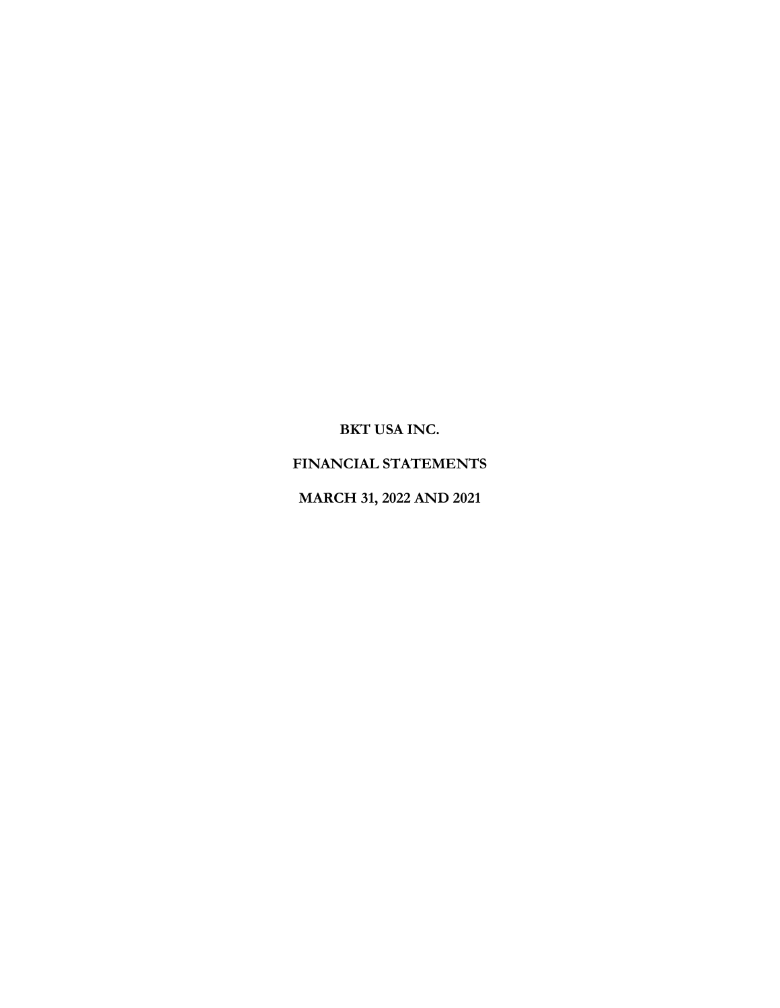**BKT USA INC.**

**FINANCIAL STATEMENTS**

**MARCH 31, 2022 AND 2021**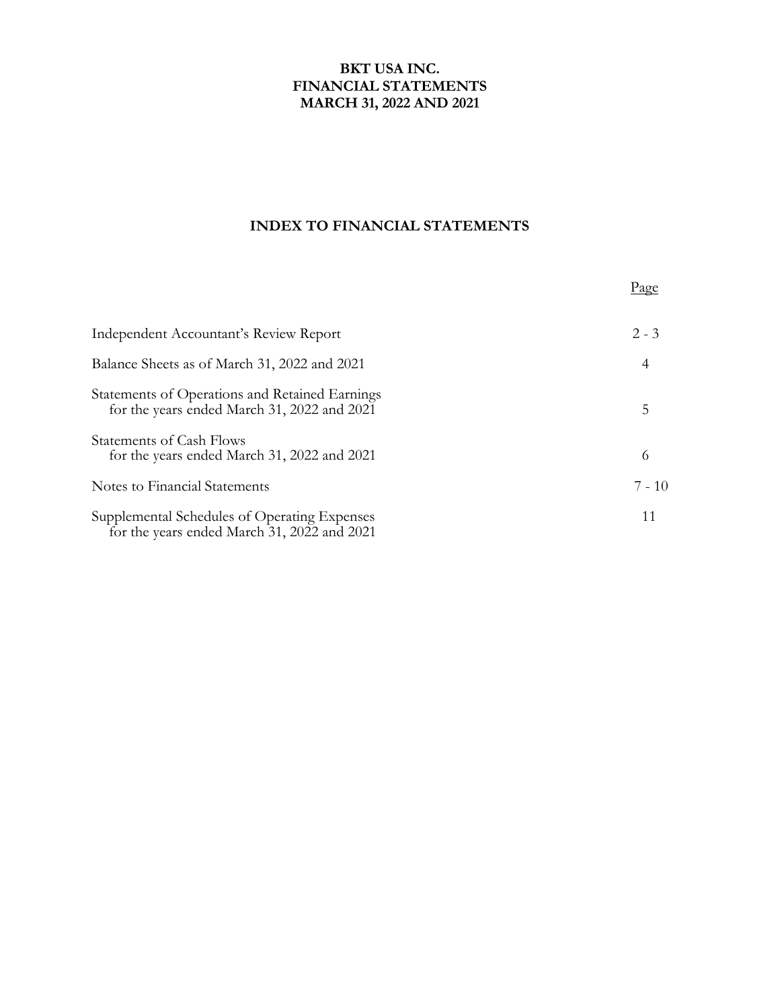#### **BKT USA INC. FINANCIAL STATEMENTS MARCH 31, 2022 AND 2021**

#### **INDEX TO FINANCIAL STATEMENTS**

|                                                                                               | Page     |
|-----------------------------------------------------------------------------------------------|----------|
| Independent Accountant's Review Report                                                        | $2 - 3$  |
| Balance Sheets as of March 31, 2022 and 2021                                                  | 4        |
| Statements of Operations and Retained Earnings<br>for the years ended March 31, 2022 and 2021 | 5        |
| Statements of Cash Flows<br>for the years ended March 31, 2022 and 2021                       | 6        |
| Notes to Financial Statements                                                                 | $7 - 10$ |
| Supplemental Schedules of Operating Expenses<br>for the years ended March 31, 2022 and 2021   | 11       |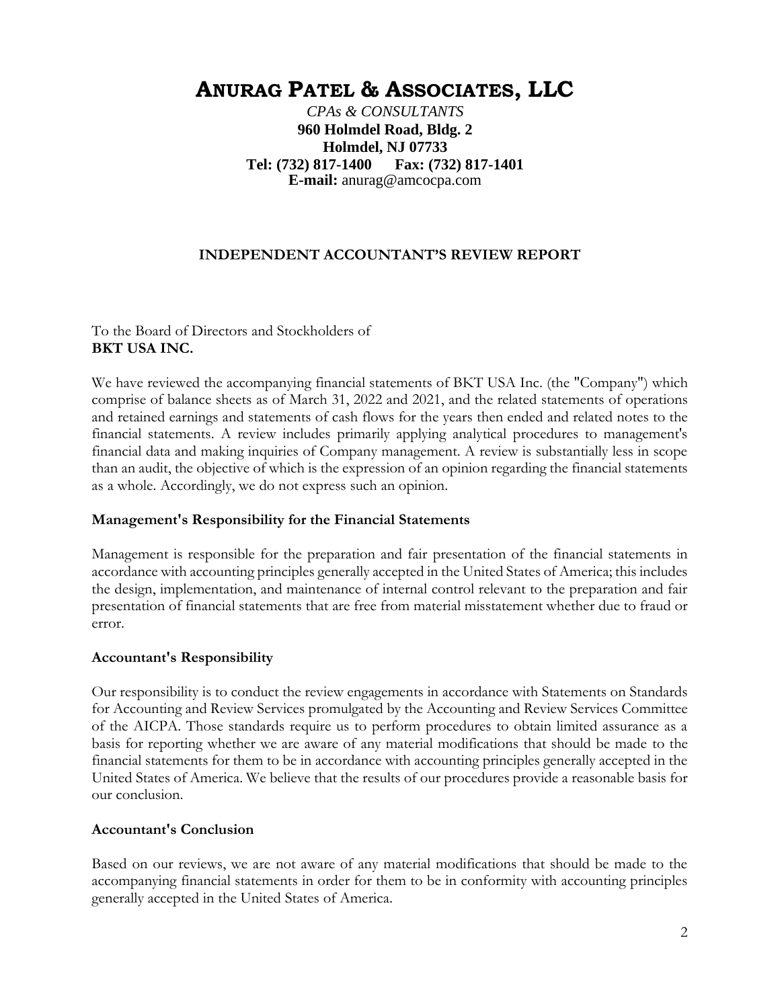## **ANURAG PATEL & ASSOCIATES, LLC**

*CPAs & CONSULTANTS* **960 Holmdel Road, Bldg. 2 Holmdel, NJ 07733 Tel: (732) 817-1400 Fax: (732) 817-1401 E-mail:** anurag@amcocpa.com

#### **INDEPENDENT ACCOUNTANT'S REVIEW REPORT**

#### To the Board of Directors and Stockholders of **BKT USA INC.**

We have reviewed the accompanying financial statements of BKT USA Inc. (the "Company") which comprise of balance sheets as of March 31, 2022 and 2021, and the related statements of operations and retained earnings and statements of cash flows for the years then ended and related notes to the financial statements. A review includes primarily applying analytical procedures to management's financial data and making inquiries of Company management. A review is substantially less in scope than an audit, the objective of which is the expression of an opinion regarding the financial statements as a whole. Accordingly, we do not express such an opinion.

#### **Management's Responsibility for the Financial Statements**

Management is responsible for the preparation and fair presentation of the financial statements in accordance with accounting principles generally accepted in the United States of America; this includes the design, implementation, and maintenance of internal control relevant to the preparation and fair presentation of financial statements that are free from material misstatement whether due to fraud or error.

#### **Accountant's Responsibility**

Our responsibility is to conduct the review engagements in accordance with Statements on Standards for Accounting and Review Services promulgated by the Accounting and Review Services Committee of the AICPA. Those standards require us to perform procedures to obtain limited assurance as a basis for reporting whether we are aware of any material modifications that should be made to the financial statements for them to be in accordance with accounting principles generally accepted in the United States of America. We believe that the results of our procedures provide a reasonable basis for our conclusion.

#### **Accountant's Conclusion**

Based on our reviews, we are not aware of any material modifications that should be made to the accompanying financial statements in order for them to be in conformity with accounting principles generally accepted in the United States of America.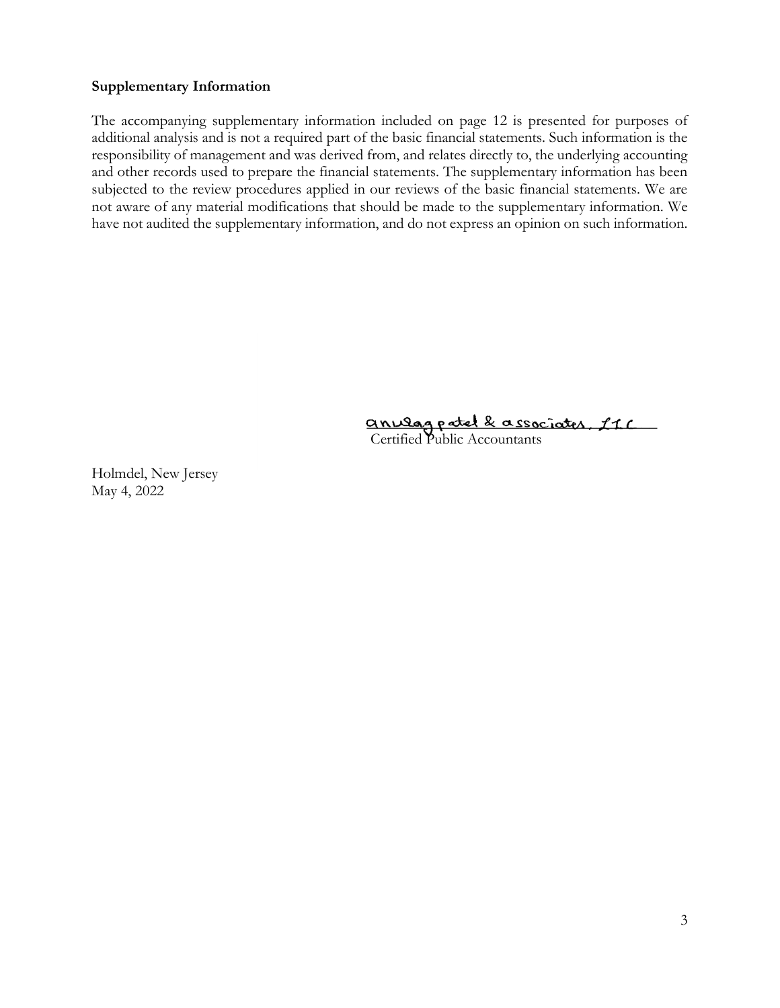#### **Supplementary Information**

The accompanying supplementary information included on page 12 is presented for purposes of additional analysis and is not a required part of the basic financial statements. Such information is the responsibility of management and was derived from, and relates directly to, the underlying accounting and other records used to prepare the financial statements. The supplementary information has been subjected to the review procedures applied in our reviews of the basic financial statements. We are not aware of any material modifications that should be made to the supplementary information. We have not audited the supplementary information, and do not express an opinion on such information.

#### anulag patel & associates, LLC

Certified Public Accountants

Holmdel, New Jersey May 4, 2022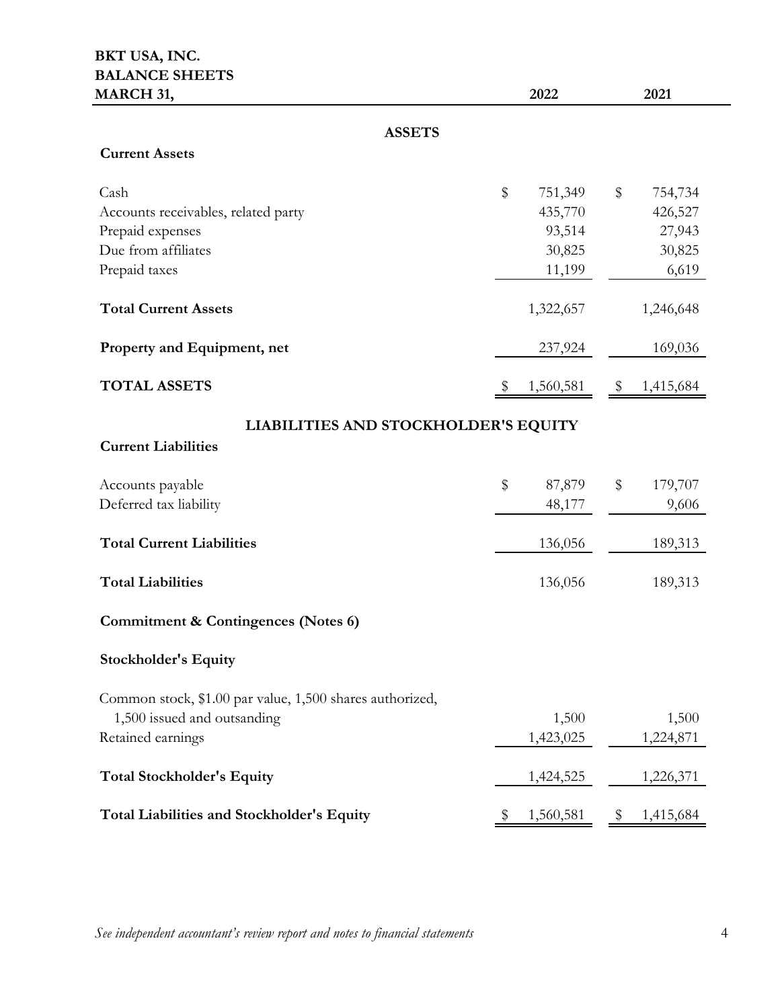# **BKT USA, INC. BALANCE SHEETS**<br><u>MARCH</u> 31,

| <b>MARCH 31,</b>                                         | 2022                       | 2021            |
|----------------------------------------------------------|----------------------------|-----------------|
| <b>ASSETS</b>                                            |                            |                 |
| <b>Current Assets</b>                                    |                            |                 |
| Cash                                                     | \$<br>751,349              | \$<br>754,734   |
| Accounts receivables, related party                      | 435,770                    | 426,527         |
| Prepaid expenses                                         | 93,514                     | 27,943          |
| Due from affiliates                                      | 30,825                     | 30,825          |
| Prepaid taxes                                            | 11,199                     | 6,619           |
| <b>Total Current Assets</b>                              | 1,322,657                  | 1,246,648       |
| Property and Equipment, net                              | 237,924                    | 169,036         |
| <b>TOTAL ASSETS</b>                                      | 1,560,581<br>$\mathcal{P}$ | 1,415,684<br>\$ |
| LIABILITIES AND STOCKHOLDER'S EQUITY                     |                            |                 |
| <b>Current Liabilities</b>                               |                            |                 |
| Accounts payable                                         | \$<br>87,879               | \$<br>179,707   |
| Deferred tax liability                                   | 48,177                     | 9,606           |
| <b>Total Current Liabilities</b>                         | 136,056                    | 189,313         |
| <b>Total Liabilities</b>                                 | 136,056                    | 189,313         |
| Commitment & Contingences (Notes 6)                      |                            |                 |
| <b>Stockholder's Equity</b>                              |                            |                 |
| Common stock, \$1.00 par value, 1,500 shares authorized, |                            |                 |
| 1,500 issued and outsanding                              | 1,500                      | 1,500           |
| Retained earnings                                        | 1,423,025                  | 1,224,871       |
| <b>Total Stockholder's Equity</b>                        | 1,424,525                  | 1,226,371       |
| Total Liabilities and Stockholder's Equity               | 1,560,581<br>\$            | \$<br>1,415,684 |

*See independent accountant's review report and notes to financial statements* 4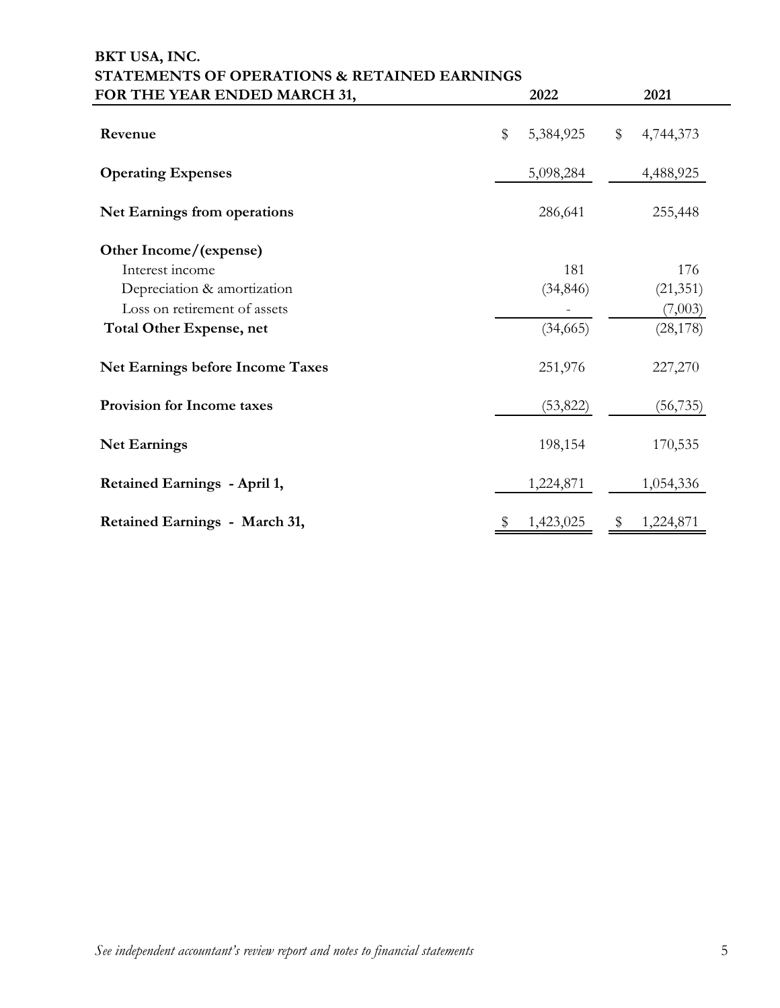| BKT USA, INC.<br>STATEMENTS OF OPERATIONS & RETAINED EARNINGS |                 |                 |  |
|---------------------------------------------------------------|-----------------|-----------------|--|
| FOR THE YEAR ENDED MARCH 31,                                  | 2022            | 2021            |  |
| Revenue                                                       | \$<br>5,384,925 | \$<br>4,744,373 |  |
| <b>Operating Expenses</b>                                     | 5,098,284       | 4,488,925       |  |
| <b>Net Earnings from operations</b>                           | 286,641         | 255,448         |  |
| Other Income/(expense)                                        |                 |                 |  |
| Interest income                                               | 181             | 176             |  |
| Depreciation & amortization                                   | (34, 846)       | (21, 351)       |  |
| Loss on retirement of assets                                  |                 | (7,003)         |  |
| <b>Total Other Expense, net</b>                               | (34,665)        | (28, 178)       |  |
| <b>Net Earnings before Income Taxes</b>                       | 251,976         | 227,270         |  |
| <b>Provision for Income taxes</b>                             | (53, 822)       | (56, 735)       |  |
| <b>Net Earnings</b>                                           | 198,154         | 170,535         |  |
| Retained Earnings - April 1,                                  | 1,224,871       | 1,054,336       |  |
| Retained Earnings - March 31,                                 | \$<br>1,423,025 | \$<br>1,224,871 |  |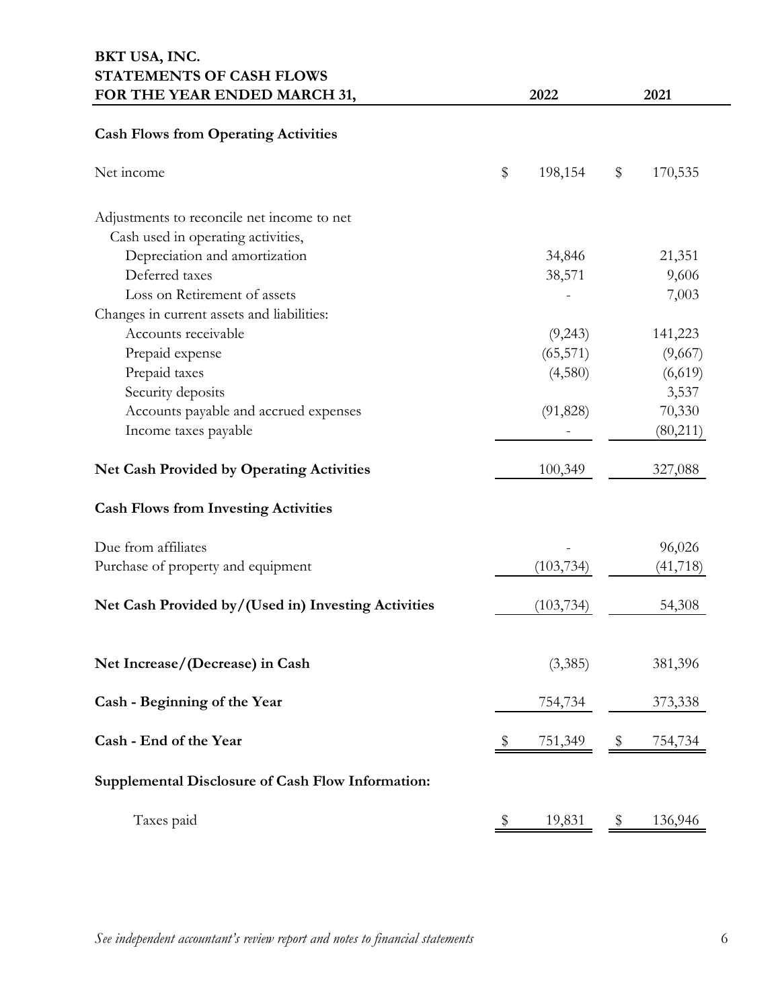### **BKT USA, INC. STATEMENTS OF CASH FLOWS FOR THE YEAR ENDED MARCH 31, 2022** 2021

| <b>Cash Flows from Operating Activities</b> |  |  |
|---------------------------------------------|--|--|
|                                             |  |  |

| Net income                                          | \$<br>198,154 | \$<br>170,535 |
|-----------------------------------------------------|---------------|---------------|
| Adjustments to reconcile net income to net          |               |               |
| Cash used in operating activities,                  |               |               |
| Depreciation and amortization                       | 34,846        | 21,351        |
| Deferred taxes                                      | 38,571        | 9,606         |
| Loss on Retirement of assets                        |               | 7,003         |
| Changes in current assets and liabilities:          |               |               |
| Accounts receivable                                 | (9,243)       | 141,223       |
| Prepaid expense                                     | (65, 571)     | (9,667)       |
| Prepaid taxes                                       | (4,580)       | (6,619)       |
| Security deposits                                   |               | 3,537         |
| Accounts payable and accrued expenses               | (91, 828)     | 70,330        |
| Income taxes payable                                |               | (80,211)      |
| <b>Net Cash Provided by Operating Activities</b>    | 100,349       | 327,088       |
| <b>Cash Flows from Investing Activities</b>         |               |               |
| Due from affiliates                                 |               | 96,026        |
| Purchase of property and equipment                  | (103, 734)    | (41, 718)     |
| Net Cash Provided by/(Used in) Investing Activities | (103, 734)    | 54,308        |
| Net Increase/(Decrease) in Cash                     | (3,385)       | 381,396       |
| Cash - Beginning of the Year                        | 754,734       | 373,338       |
| Cash - End of the Year                              | 751,349       | 754,734       |
| Supplemental Disclosure of Cash Flow Information:   |               |               |
| Taxes paid                                          | \$<br>19,831  | \$<br>136,946 |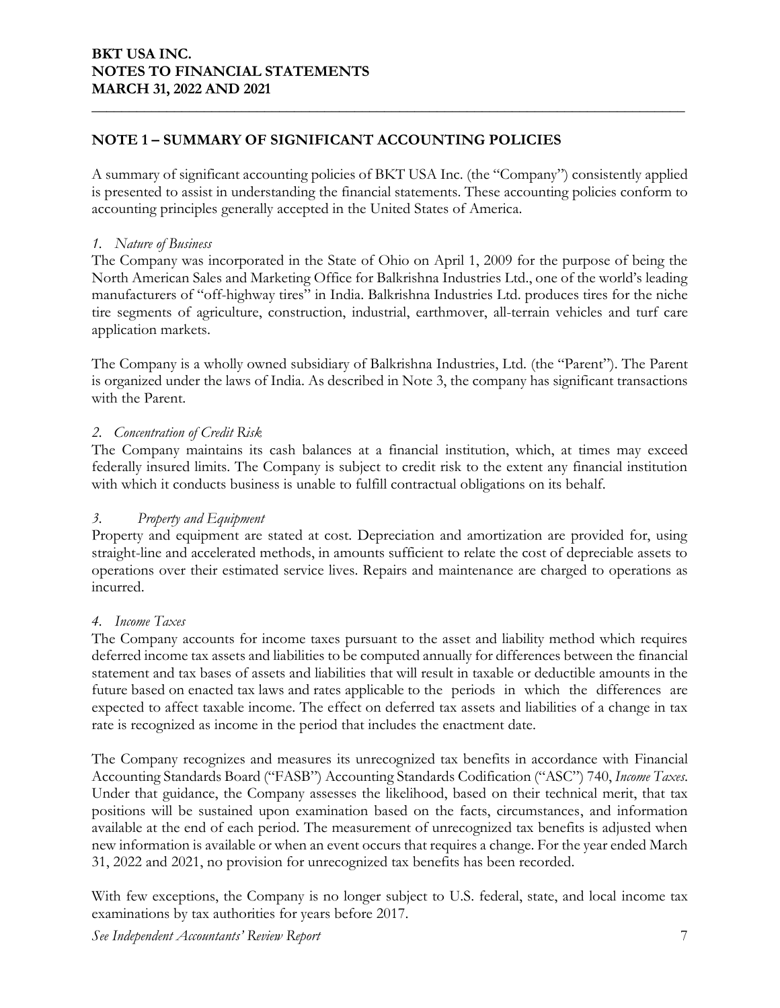#### **NOTE 1 – SUMMARY OF SIGNIFICANT ACCOUNTING POLICIES**

A summary of significant accounting policies of BKT USA Inc. (the "Company") consistently applied is presented to assist in understanding the financial statements. These accounting policies conform to accounting principles generally accepted in the United States of America.

**\_\_\_\_\_\_\_\_\_\_\_\_\_\_\_\_\_\_\_\_\_\_\_\_\_\_\_\_\_\_\_\_\_\_\_\_\_\_\_\_\_\_\_\_\_\_\_\_\_\_\_\_\_\_\_\_\_\_\_\_\_\_\_\_\_\_\_\_\_\_\_\_\_\_\_\_\_\_\_**

#### *1. Nature of Business*

The Company was incorporated in the State of Ohio on April 1, 2009 for the purpose of being the North American Sales and Marketing Office for Balkrishna Industries Ltd., one of the world's leading manufacturers of "off-highway tires" in India. Balkrishna Industries Ltd. produces tires for the niche tire segments of agriculture, construction, industrial, earthmover, all-terrain vehicles and turf care application markets.

The Company is a wholly owned subsidiary of Balkrishna Industries, Ltd. (the "Parent"). The Parent is organized under the laws of India. As described in Note 3, the company has significant transactions with the Parent.

#### *2. Concentration of Credit Risk*

The Company maintains its cash balances at a financial institution, which, at times may exceed federally insured limits. The Company is subject to credit risk to the extent any financial institution with which it conducts business is unable to fulfill contractual obligations on its behalf.

#### *3. Property and Equipment*

Property and equipment are stated at cost. Depreciation and amortization are provided for, using straight-line and accelerated methods, in amounts sufficient to relate the cost of depreciable assets to operations over their estimated service lives. Repairs and maintenance are charged to operations as incurred.

#### *4. Income Taxes*

The Company accounts for income taxes pursuant to the asset and liability method which requires deferred income tax assets and liabilities to be computed annually for differences between the financial statement and tax bases of assets and liabilities that will result in taxable or deductible amounts in the future based on enacted tax laws and rates applicable to the periods in which the differences are expected to affect taxable income. The effect on deferred tax assets and liabilities of a change in tax rate is recognized as income in the period that includes the enactment date.

The Company recognizes and measures its unrecognized tax benefits in accordance with Financial Accounting Standards Board ("FASB") Accounting Standards Codification ("ASC") 740, *Income Taxes*. Under that guidance, the Company assesses the likelihood, based on their technical merit, that tax positions will be sustained upon examination based on the facts, circumstances, and information available at the end of each period. The measurement of unrecognized tax benefits is adjusted when new information is available or when an event occurs that requires a change. For the year ended March 31, 2022 and 2021, no provision for unrecognized tax benefits has been recorded.

With few exceptions, the Company is no longer subject to U.S. federal, state, and local income tax examinations by tax authorities for years before 2017.

*See Independent Accountants' Review Report* 7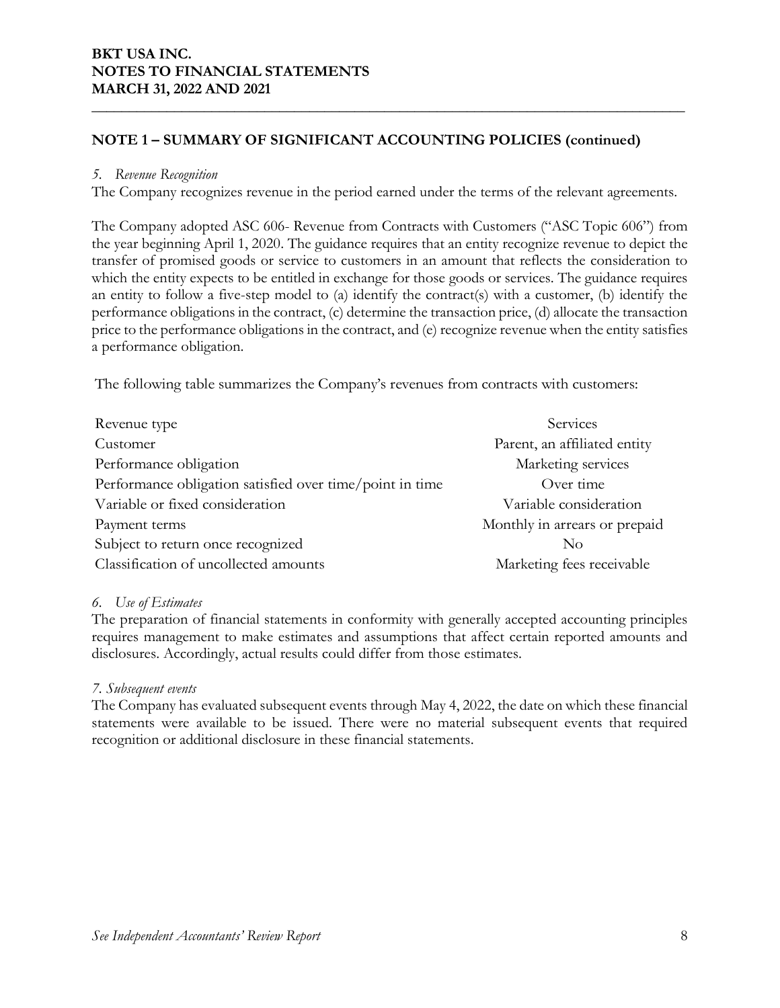#### **BKT USA INC. NOTES TO FINANCIAL STATEMENTS MARCH 31, 2022 AND 2021**

#### **NOTE 1 – SUMMARY OF SIGNIFICANT ACCOUNTING POLICIES (continued)**

#### *5. Revenue Recognition*

The Company recognizes revenue in the period earned under the terms of the relevant agreements.

**\_\_\_\_\_\_\_\_\_\_\_\_\_\_\_\_\_\_\_\_\_\_\_\_\_\_\_\_\_\_\_\_\_\_\_\_\_\_\_\_\_\_\_\_\_\_\_\_\_\_\_\_\_\_\_\_\_\_\_\_\_\_\_\_\_\_\_\_\_\_\_\_\_\_\_\_\_\_\_**

The Company adopted ASC 606- Revenue from Contracts with Customers ("ASC Topic 606") from the year beginning April 1, 2020. The guidance requires that an entity recognize revenue to depict the transfer of promised goods or service to customers in an amount that reflects the consideration to which the entity expects to be entitled in exchange for those goods or services. The guidance requires an entity to follow a five-step model to (a) identify the contract(s) with a customer, (b) identify the performance obligations in the contract, (c) determine the transaction price, (d) allocate the transaction price to the performance obligations in the contract, and (e) recognize revenue when the entity satisfies a performance obligation.

The following table summarizes the Company's revenues from contracts with customers:

| Revenue type                                             | Services                      |
|----------------------------------------------------------|-------------------------------|
| Customer                                                 | Parent, an affiliated entity  |
| Performance obligation                                   | Marketing services            |
| Performance obligation satisfied over time/point in time | Over time                     |
| Variable or fixed consideration                          | Variable consideration        |
| Payment terms                                            | Monthly in arrears or prepaid |
| Subject to return once recognized                        | $\rm No$                      |
| Classification of uncollected amounts                    | Marketing fees receivable     |

#### *6. Use of Estimates*

The preparation of financial statements in conformity with generally accepted accounting principles requires management to make estimates and assumptions that affect certain reported amounts and disclosures. Accordingly, actual results could differ from those estimates.

#### *7. Subsequent events*

The Company has evaluated subsequent events through May 4, 2022, the date on which these financial statements were available to be issued. There were no material subsequent events that required recognition or additional disclosure in these financial statements.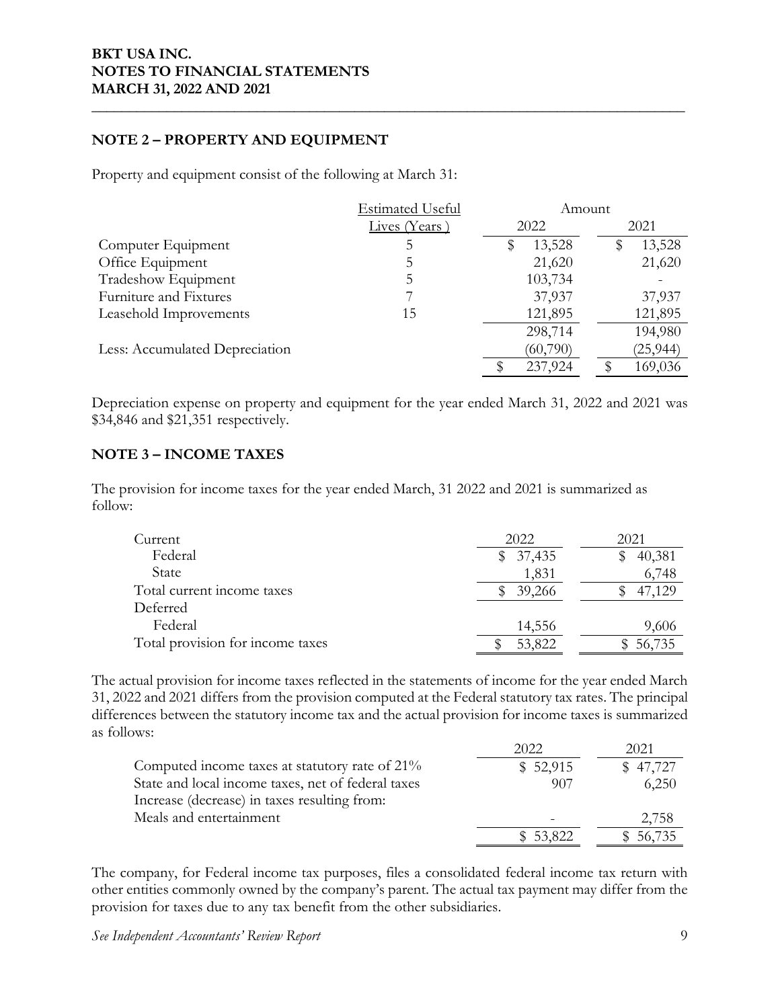#### **BKT USA INC. NOTES TO FINANCIAL STATEMENTS MARCH 31, 2022 AND 2021**

#### **NOTE 2 – PROPERTY AND EQUIPMENT**

Property and equipment consist of the following at March 31:

|                                | <b>Estimated Useful</b><br>Amount |              |              |  |
|--------------------------------|-----------------------------------|--------------|--------------|--|
|                                | Lives (Years)                     | 2022         | 2021         |  |
| Computer Equipment             |                                   | 13,528<br>\$ | 13,528<br>\$ |  |
| Office Equipment               | 5.                                | 21,620       | 21,620       |  |
| Tradeshow Equipment            |                                   | 103,734      |              |  |
| Furniture and Fixtures         |                                   | 37,937       | 37,937       |  |
| Leasehold Improvements         | 15                                | 121,895      | 121,895      |  |
|                                |                                   | 298,714      | 194,980      |  |
| Less: Accumulated Depreciation |                                   | (60,790)     | (25, 944)    |  |
|                                |                                   | 237,924      | 169,036      |  |

**\_\_\_\_\_\_\_\_\_\_\_\_\_\_\_\_\_\_\_\_\_\_\_\_\_\_\_\_\_\_\_\_\_\_\_\_\_\_\_\_\_\_\_\_\_\_\_\_\_\_\_\_\_\_\_\_\_\_\_\_\_\_\_\_\_\_\_\_\_\_\_\_\_\_\_\_\_\_\_**

Depreciation expense on property and equipment for the year ended March 31, 2022 and 2021 was \$34,846 and \$21,351 respectively.

#### **NOTE 3 – INCOME TAXES**

The provision for income taxes for the year ended March, 31 2022 and 2021 is summarized as follow:

| Current                          | 2022     | 2021   |
|----------------------------------|----------|--------|
| Federal                          | \$37,435 | 40,381 |
| <b>State</b>                     | 1,831    | 6,748  |
| Total current income taxes       | 39,266   | 47,129 |
| Deferred                         |          |        |
| Federal                          | 14,556   | 9,606  |
| Total provision for income taxes | 53,822   | 56,735 |

The actual provision for income taxes reflected in the statements of income for the year ended March 31, 2022 and 2021 differs from the provision computed at the Federal statutory tax rates. The principal differences between the statutory income tax and the actual provision for income taxes is summarized as follows:

|                                                    | 2022     | 2021     |
|----------------------------------------------------|----------|----------|
| Computed income taxes at statutory rate of 21%     | \$52,915 | \$47,727 |
| State and local income taxes, net of federal taxes | 907      | 6,250    |
| Increase (decrease) in taxes resulting from:       |          |          |
| Meals and entertainment                            |          | 2,758    |
|                                                    | \$53,822 | \$56,735 |

The company, for Federal income tax purposes, files a consolidated federal income tax return with other entities commonly owned by the company's parent. The actual tax payment may differ from the provision for taxes due to any tax benefit from the other subsidiaries.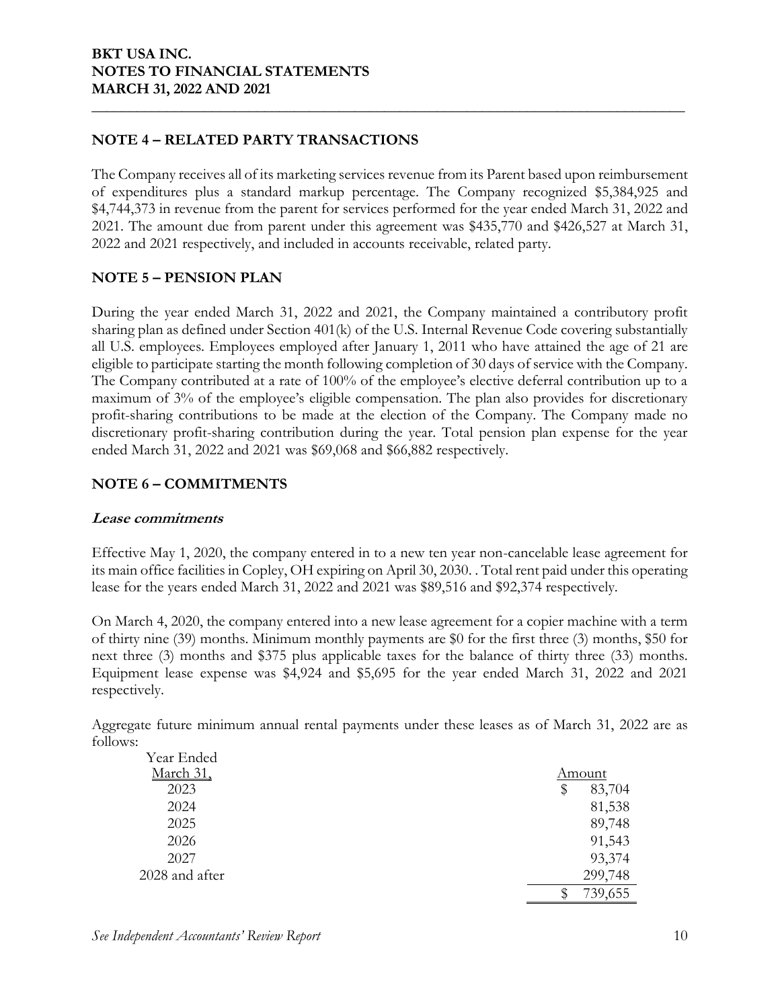#### **NOTE 4 – RELATED PARTY TRANSACTIONS**

The Company receives all of its marketing services revenue from its Parent based upon reimbursement of expenditures plus a standard markup percentage. The Company recognized \$5,384,925 and \$4,744,373 in revenue from the parent for services performed for the year ended March 31, 2022 and 2021. The amount due from parent under this agreement was \$435,770 and \$426,527 at March 31, 2022 and 2021 respectively, and included in accounts receivable, related party.

**\_\_\_\_\_\_\_\_\_\_\_\_\_\_\_\_\_\_\_\_\_\_\_\_\_\_\_\_\_\_\_\_\_\_\_\_\_\_\_\_\_\_\_\_\_\_\_\_\_\_\_\_\_\_\_\_\_\_\_\_\_\_\_\_\_\_\_\_\_\_\_\_\_\_\_\_\_\_\_**

#### **NOTE 5 – PENSION PLAN**

During the year ended March 31, 2022 and 2021, the Company maintained a contributory profit sharing plan as defined under Section 401(k) of the U.S. Internal Revenue Code covering substantially all U.S. employees. Employees employed after January 1, 2011 who have attained the age of 21 are eligible to participate starting the month following completion of 30 days of service with the Company. The Company contributed at a rate of 100% of the employee's elective deferral contribution up to a maximum of 3% of the employee's eligible compensation. The plan also provides for discretionary profit-sharing contributions to be made at the election of the Company. The Company made no discretionary profit-sharing contribution during the year. Total pension plan expense for the year ended March 31, 2022 and 2021 was \$69,068 and \$66,882 respectively.

#### **NOTE 6 – COMMITMENTS**

#### **Lease commitments**

Effective May 1, 2020, the company entered in to a new ten year non-cancelable lease agreement for its main office facilities in Copley, OH expiring on April 30, 2030. . Total rent paid under this operating lease for the years ended March 31, 2022 and 2021 was \$89,516 and \$92,374 respectively.

On March 4, 2020, the company entered into a new lease agreement for a copier machine with a term of thirty nine (39) months. Minimum monthly payments are \$0 for the first three (3) months, \$50 for next three (3) months and \$375 plus applicable taxes for the balance of thirty three (33) months. Equipment lease expense was \$4,924 and \$5,695 for the year ended March 31, 2022 and 2021 respectively.

Aggregate future minimum annual rental payments under these leases as of March 31, 2022 are as follows: Year Ended

| i ear Ended      |              |
|------------------|--------------|
| <u>March 31,</u> | Amount       |
| 2023             | \$<br>83,704 |
| 2024             | 81,538       |
| 2025             | 89,748       |
| 2026             | 91,543       |
| 2027             | 93,374       |
| 2028 and after   | 299,748      |
|                  | 739,655      |